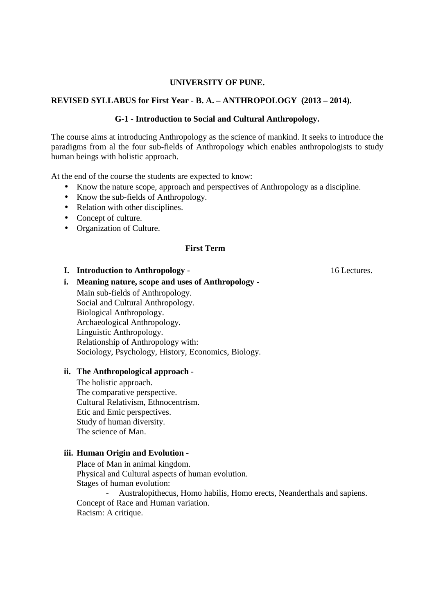## **UNIVERSITY OF PUNE.**

# **REVISED SYLLABUS for First Year - B. A. – ANTHROPOLOGY (2013 – 2014).**

## **G-1 - Introduction to Social and Cultural Anthropology.**

The course aims at introducing Anthropology as the science of mankind. It seeks to introduce the paradigms from al the four sub-fields of Anthropology which enables anthropologists to study human beings with holistic approach.

At the end of the course the students are expected to know:

- Know the nature scope, approach and perspectives of Anthropology as a discipline.
- Know the sub-fields of Anthropology.
- Relation with other disciplines.
- Concept of culture.
- Organization of Culture.

### **First Term**

#### **I. Introduction to Anthropology -** 16 Lectures.

**i. Meaning nature, scope and uses of Anthropology -** 

 Main sub-fields of Anthropology. Social and Cultural Anthropology. Biological Anthropology. Archaeological Anthropology. Linguistic Anthropology. Relationship of Anthropology with: Sociology, Psychology, History, Economics, Biology.

## **ii. The Anthropological approach -**

 The holistic approach. The comparative perspective. Cultural Relativism, Ethnocentrism. Etic and Emic perspectives. Study of human diversity. The science of Man.

# **iii. Human Origin and Evolution -**

 Place of Man in animal kingdom. Physical and Cultural aspects of human evolution. Stages of human evolution:

- Australopithecus, Homo habilis, Homo erects, Neanderthals and sapiens. Concept of Race and Human variation. Racism: A critique.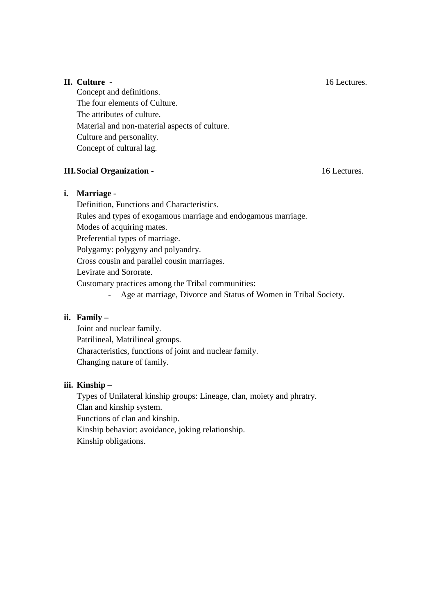# **II. Culture -** 16 Lectures.

 Concept and definitions. The four elements of Culture. The attributes of culture. Material and non-material aspects of culture. Culture and personality. Concept of cultural lag.

# **III.Social Organization -** 16 Lectures.

# **i. Marriage -**

Definition, Functions and Characteristics.

Rules and types of exogamous marriage and endogamous marriage.

Modes of acquiring mates.

Preferential types of marriage.

Polygamy: polygyny and polyandry.

Cross cousin and parallel cousin marriages.

Levirate and Sororate.

Customary practices among the Tribal communities:

- Age at marriage, Divorce and Status of Women in Tribal Society.

# **ii. Family –**

 Joint and nuclear family. Patrilineal, Matrilineal groups. Characteristics, functions of joint and nuclear family. Changing nature of family.

# **iii. Kinship –**

 Types of Unilateral kinship groups: Lineage, clan, moiety and phratry. Clan and kinship system. Functions of clan and kinship. Kinship behavior: avoidance, joking relationship. Kinship obligations.